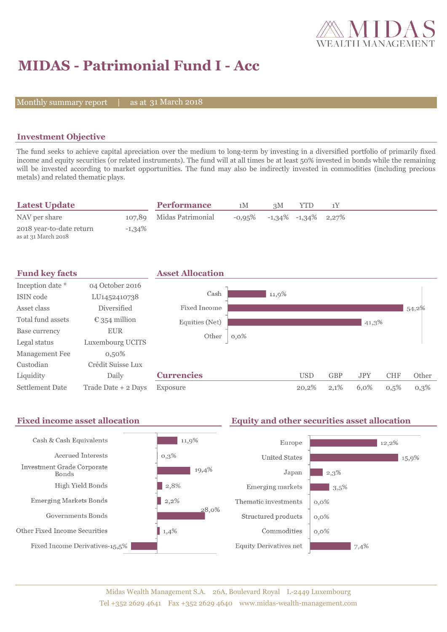

## **MIDAS - Patrimonial Fund I - Acc**

Monthly summary report

31 March 2018

### **Investment Objective**

The fund seeks to achieve capital apreciation over the medium to long-term by investing in a diversified portfolio of primarily fixed income and equity securities (or related instruments). The fund will at all times be at least 50% invested in bonds while the remaining will be invested according to market opportunities. The fund may also be indirectly invested in commodities (including precious metals) and related thematic plays.

| <b>Latest Update</b>                            |           | <b>Performance</b>       | 1M | 3M                                   | YTD |  |
|-------------------------------------------------|-----------|--------------------------|----|--------------------------------------|-----|--|
| NAV per share                                   |           | 107,89 Midas Patrimonial |    | $-0.95\%$ $-1.34\%$ $-1.34\%$ 2.27\% |     |  |
| 2018 year-to-date return<br>as at 31 March 2018 | $-1,34\%$ |                          |    |                                      |     |  |



#### **Fixed income asset allocation Equity and other securities asset allocation** Cash & Cash Equivalents  $11,9%$ Europe 12.2% Accrued Interests  $0,3\%$ **United States** 15,9% **Investment Grade Corporate** 19,4%  $2.3%$ Japan **Bonds** High Yield Bonds  $\vert$  2,8% Emerging markets  $3,5%$ **Emerging Markets Bonds**  $2,2%$ Thematic investments  $0.0\%$ 28.0% Governments Bonds Structured products  $0.0\%$ Other Fixed Income Securities 1,4% Commodities  $0.0\%$ Fixed Income Derivatives-15,5% **Equity Derivatives net**  $7,4%$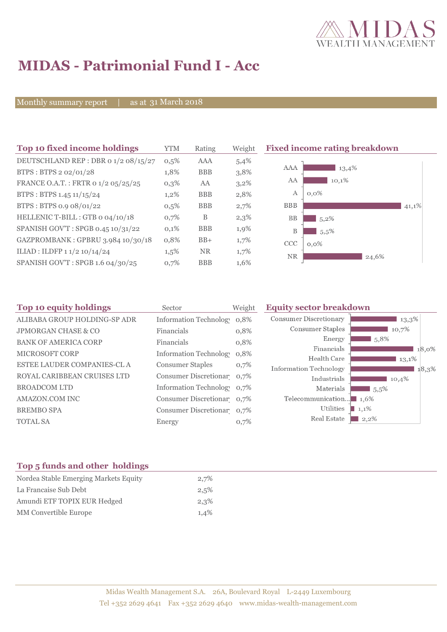

# **MIDAS - Patrimonial Fund I - Acc**

Monthly summary report | as at 31 March 2018

| Top 10 fixed income holdings         | <b>YTM</b> | Rating     | Weight  | <b>Fixed income rating breakdown</b> |  |
|--------------------------------------|------------|------------|---------|--------------------------------------|--|
| DEUTSCHLAND REP : DBR 0 1/2 08/15/27 | 0,5%       | AAA        | 5,4%    |                                      |  |
| BTPS: BTPS 2 02/01/28                | 1,8%       | <b>BBB</b> | 3,8%    | AAA<br>13,4%                         |  |
| FRANCE O.A.T.: FRTR 0 1/2 05/25/25   | 0,3%       | AA         | $3,2\%$ | AA<br>10,1%                          |  |
| BTPS: BTPS 1.45 11/15/24             | $1,2\%$    | <b>BBB</b> | 2,8%    | $\boldsymbol{A}$<br>$0,0\%$          |  |
| BTPS: BTPS 0.9 08/01/22              | $0,5\%$    | <b>BBB</b> | 2,7%    | <b>BBB</b><br>41,1%                  |  |
| HELLENIC T-BILL : GTB 0 04/10/18     | 0,7%       | B          | 2,3%    | <b>BB</b><br>5,2%                    |  |
| SPANISH GOV'T: SPGB 0.45 10/31/22    | 0,1%       | <b>BBB</b> | 1,9%    | B<br>5,5%                            |  |
| GAZPROMBANK: GPBRU 3.984 10/30/18    | 0,8%       | $BB+$      | 1,7%    | <b>CCC</b><br>$0,0\%$                |  |
| ILIAD : ILDFP 1 1/2 10/14/24         | $1,5\%$    | <b>NR</b>  | 1,7%    | NR<br>24,6%                          |  |
| SPANISH GOV'T: SPGB 1.6 04/30/25     | 0,7%       | <b>BBB</b> | 1,6%    |                                      |  |

| Sector           | Weight | <b>Equity sector breakdown</b>                                                                                                                                                                      |                     |  |
|------------------|--------|-----------------------------------------------------------------------------------------------------------------------------------------------------------------------------------------------------|---------------------|--|
|                  |        | <b>Consumer Discretionary</b>                                                                                                                                                                       | 13,3%               |  |
| Financials       | 0,8%   | Consumer Staples                                                                                                                                                                                    | 10,7%               |  |
| Financials       |        | Energy                                                                                                                                                                                              | $\blacksquare$ 5.8% |  |
|                  |        | Financials                                                                                                                                                                                          | 18,0%               |  |
|                  |        | Health Care                                                                                                                                                                                         | $13,1\%$            |  |
| Consumer Staples | 0,7%   | <b>Information Technology</b>                                                                                                                                                                       | 18,3%               |  |
|                  |        | Industrials                                                                                                                                                                                         | 10,4%               |  |
|                  |        | Materials                                                                                                                                                                                           | $15,5\%$            |  |
|                  |        | Telecommunication $\blacksquare$ 1.6%                                                                                                                                                               |                     |  |
|                  |        | Utilities                                                                                                                                                                                           | $1,1\%$             |  |
| Energy           | 0,7%   | Real Estate                                                                                                                                                                                         | $2,2\%$             |  |
|                  |        | Information Technolog 0,8%<br>0,8%<br><b>Information Technology</b><br>0,8%<br>Consumer Discretionar 0,7%<br>Information Technolog 0,7%<br>Consumer Discretionar 0,7%<br>Consumer Discretionar 0,7% |                     |  |

#### **Top 5 funds and other holdings**

| Nordea Stable Emerging Markets Equity | 2,7% |
|---------------------------------------|------|
| La Francaise Sub Debt                 | 2,5% |
| Amundi ETF TOPIX EUR Hedged           | 2,3% |
| MM Convertible Europe                 | 1,4% |